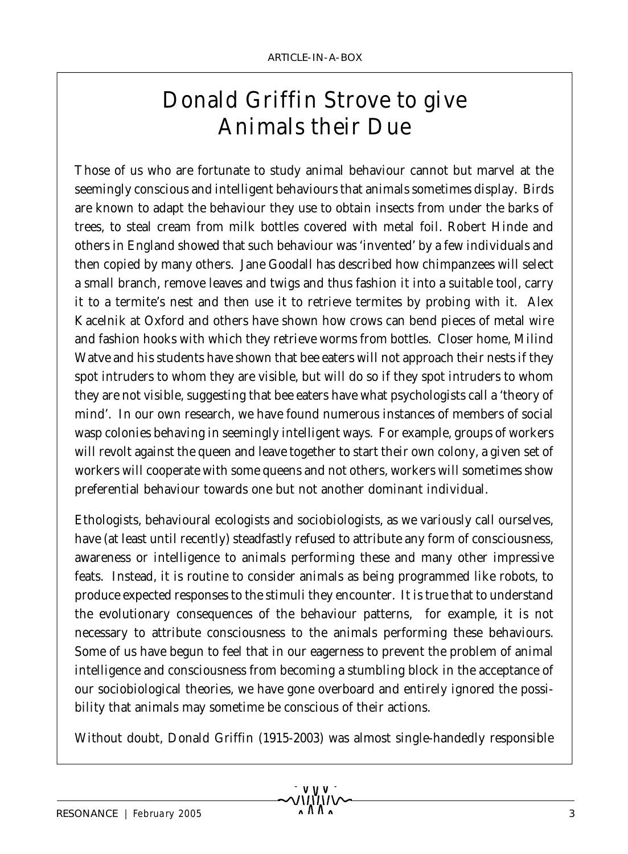## Donald Griffin Strove to give Animals their Due

Those of us who are fortunate to study animal behaviour cannot but marvel at the seemingly conscious and intelligent behaviours that animals sometimes display. Birds are known to adapt the behaviour they use to obtain insects from under the barks of trees, to steal cream from milk bottles covered with metal foil. Robert Hinde and others in England showed that such behaviour was 'invented' by a few individuals and then copied by many others. Jane Goodall has described how chimpanzees will select a small branch, remove leaves and twigs and thus fashion it into a suitable tool, carry it to a termite's nest and then use it to retrieve termites by probing with it. Alex Kacelnik at Oxford and others have shown how crows can bend pieces of metal wire and fashion hooks with which they retrieve worms from bottles. Closer home, Milind Watve and his students have shown that bee eaters will not approach their nests if they spot intruders to whom they are visible, but will do so if they spot intruders to whom they are not visible, suggesting that bee eaters have what psychologists call a 'theory of mind'. In our own research, we have found numerous instances of members of social wasp colonies behaving in seemingly intelligent ways. For example, groups of workers will revolt against the queen and leave together to start their own colony, a given set of workers will cooperate with some queens and not others, workers will sometimes show preferential behaviour towards one but not another dominant individual.

Ethologists, behavioural ecologists and sociobiologists, as we variously call ourselves, have (at least until recently) steadfastly refused to attribute any form of consciousness, awareness or intelligence to animals performing these and many other impressive feats. Instead, it is routine to consider animals as being programmed like robots, to produce expected responses to the stimuli they encounter. It is true that to understand the evolutionary consequences of the behaviour patterns, for example, it is not necessary to attribute consciousness to the animals performing these behaviours. Some of us have begun to feel that in our eagerness to prevent the problem of animal intelligence and consciousness from becoming a stumbling block in the acceptance of our sociobiological theories, we have gone overboard and entirely ignored the possibility that animals may sometime be conscious of their actions.

Without doubt, Donald Griffin (1915-2003) was almost single-handedly responsible

**V** V V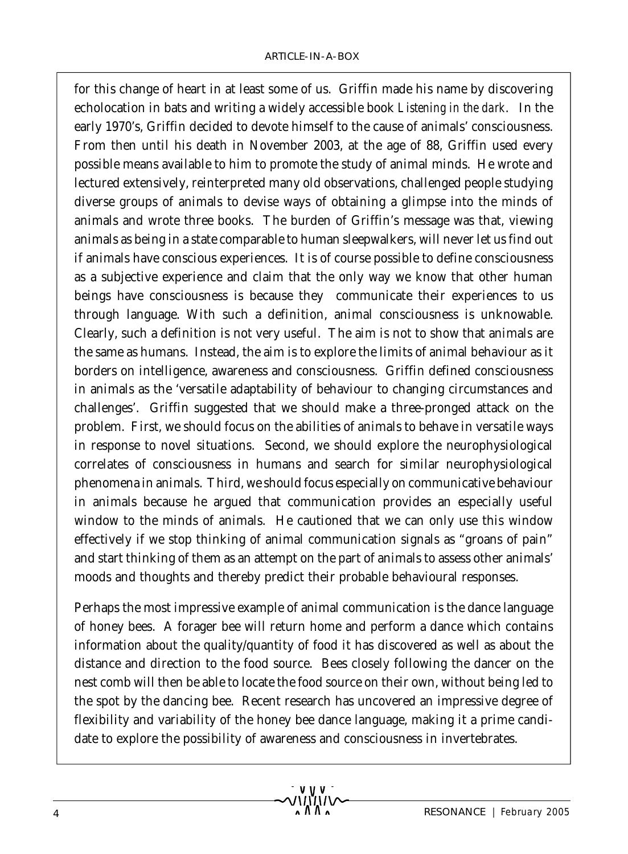for this change of heart in at least some of us. Griffin made his name by discovering echolocation in bats and writing a widely accessible book *Listening in the dark*. In the early 1970's, Griffin decided to devote himself to the cause of animals' consciousness. From then until his death in November 2003, at the age of 88, Griffin used every possible means available to him to promote the study of animal minds. He wrote and lectured extensively, reinterpreted many old observations, challenged people studying diverse groups of animals to devise ways of obtaining a glimpse into the minds of animals and wrote three books. The burden of Griffin's message was that, viewing animals as being in a state comparable to human sleepwalkers, will never let us find out if animals have conscious experiences. It is of course possible to define consciousness as a subjective experience and claim that the only way we know that other human beings have consciousness is because they communicate their experiences to us through language. With such a definition, animal consciousness is unknowable. Clearly, such a definition is not very useful. The aim is not to show that animals are the same as humans. Instead, the aim is to explore the limits of animal behaviour as it borders on intelligence, awareness and consciousness. Griffin defined consciousness in animals as the 'versatile adaptability of behaviour to changing circumstances and challenges'. Griffin suggested that we should make a three-pronged attack on the problem. First, we should focus on the abilities of animals to behave in versatile ways in response to novel situations. Second, we should explore the neurophysiological correlates of consciousness in humans and search for similar neurophysiological phenomena in animals. Third, we should focus especially on communicative behaviour in animals because he argued that communication provides an especially useful window to the minds of animals. He cautioned that we can only use this window effectively if we stop thinking of animal communication signals as "groans of pain" and start thinking of them as an attempt on the part of animals to assess other animals' moods and thoughts and thereby predict their probable behavioural responses.

Perhaps the most impressive example of animal communication is the dance language of honey bees. A forager bee will return home and perform a dance which contains information about the quality/quantity of food it has discovered as well as about the distance and direction to the food source. Bees closely following the dancer on the nest comb will then be able to locate the food source on their own, without being led to the spot by the dancing bee. Recent research has uncovered an impressive degree of flexibility and variability of the honey bee dance language, making it a prime candidate to explore the possibility of awareness and consciousness in invertebrates.